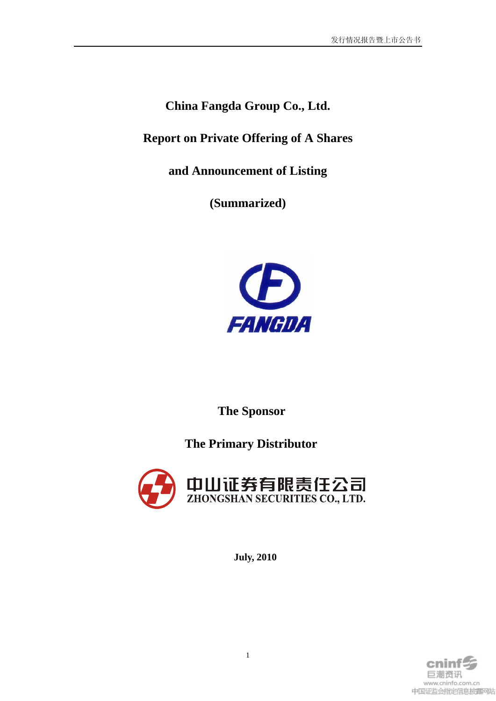# **China Fangda Group Co., Ltd.**

# **Report on Private Offering of A Shares**

**and Announcement of Listing** 

**(Summarized)** 



# **The Sponsor**

 **The Primary Distributor** 



 **July, 2010**

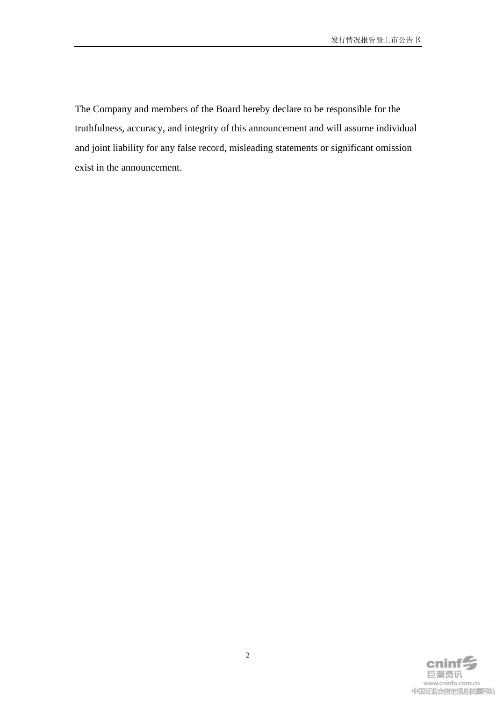The Company and members of the Board hereby declare to be responsible for the truthfulness, accuracy, and integrity of this announcement and will assume individual and joint liability for any false record, misleading statements or significant omission exist in the announcement.

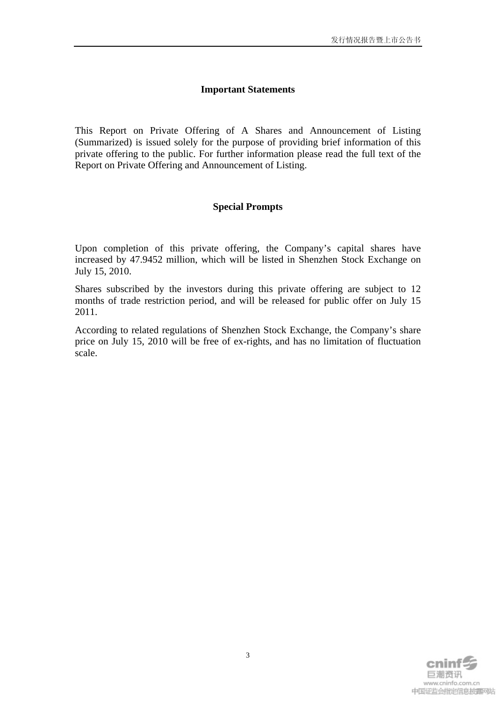#### **Important Statements**

This Report on Private Offering of A Shares and Announcement of Listing (Summarized) is issued solely for the purpose of providing brief information of this private offering to the public. For further information please read the full text of the Report on Private Offering and Announcement of Listing.

#### **Special Prompts**

Upon completion of this private offering, the Company's capital shares have increased by 47.9452 million, which will be listed in Shenzhen Stock Exchange on July 15, 2010.

Shares subscribed by the investors during this private offering are subject to 12 months of trade restriction period, and will be released for public offer on July 15 2011.

According to related regulations of Shenzhen Stock Exchange, the Company's share price on July 15, 2010 will be free of ex-rights, and has no limitation of fluctuation scale.

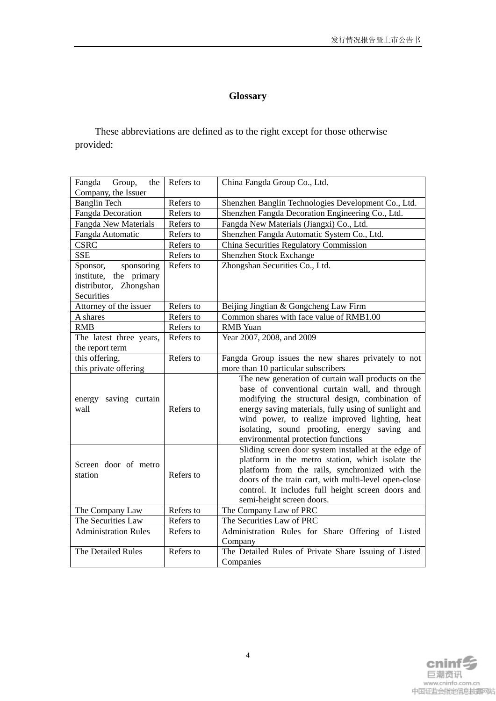## **Glossary**

These abbreviations are defined as to the right except for those otherwise provided:

| Fangda<br>Group,<br>the          | Refers to | China Fangda Group Co., Ltd.                                                                                                                                                                                                                                                                                                                            |
|----------------------------------|-----------|---------------------------------------------------------------------------------------------------------------------------------------------------------------------------------------------------------------------------------------------------------------------------------------------------------------------------------------------------------|
| Company, the Issuer              |           |                                                                                                                                                                                                                                                                                                                                                         |
| <b>Banglin Tech</b>              | Refers to | Shenzhen Banglin Technologies Development Co., Ltd.                                                                                                                                                                                                                                                                                                     |
| Fangda Decoration                | Refers to | Shenzhen Fangda Decoration Engineering Co., Ltd.                                                                                                                                                                                                                                                                                                        |
| <b>Fangda New Materials</b>      | Refers to | Fangda New Materials (Jiangxi) Co., Ltd.                                                                                                                                                                                                                                                                                                                |
| Fangda Automatic                 | Refers to | Shenzhen Fangda Automatic System Co., Ltd.                                                                                                                                                                                                                                                                                                              |
| <b>CSRC</b>                      | Refers to | China Securities Regulatory Commission                                                                                                                                                                                                                                                                                                                  |
| <b>SSE</b>                       | Refers to | Shenzhen Stock Exchange                                                                                                                                                                                                                                                                                                                                 |
| Sponsor,<br>sponsoring           | Refers to | Zhongshan Securities Co., Ltd.                                                                                                                                                                                                                                                                                                                          |
| institute, the primary           |           |                                                                                                                                                                                                                                                                                                                                                         |
| distributor, Zhongshan           |           |                                                                                                                                                                                                                                                                                                                                                         |
| Securities                       |           |                                                                                                                                                                                                                                                                                                                                                         |
| Attorney of the issuer           | Refers to | Beijing Jingtian & Gongcheng Law Firm                                                                                                                                                                                                                                                                                                                   |
| A shares                         | Refers to | Common shares with face value of RMB1.00                                                                                                                                                                                                                                                                                                                |
| <b>RMB</b>                       | Refers to | <b>RMB</b> Yuan                                                                                                                                                                                                                                                                                                                                         |
| The latest three years,          | Refers to | Year 2007, 2008, and 2009                                                                                                                                                                                                                                                                                                                               |
| the report term                  |           |                                                                                                                                                                                                                                                                                                                                                         |
| this offering,                   | Refers to | Fangda Group issues the new shares privately to not                                                                                                                                                                                                                                                                                                     |
| this private offering            |           | more than 10 particular subscribers                                                                                                                                                                                                                                                                                                                     |
| saving curtain<br>energy<br>wall | Refers to | The new generation of curtain wall products on the<br>base of conventional curtain wall, and through<br>modifying the structural design, combination of<br>energy saving materials, fully using of sunlight and<br>wind power, to realize improved lighting, heat<br>isolating, sound proofing, energy saving and<br>environmental protection functions |
| Screen door of metro<br>station  | Refers to | Sliding screen door system installed at the edge of<br>platform in the metro station, which isolate the<br>platform from the rails, synchronized with the<br>doors of the train cart, with multi-level open-close<br>control. It includes full height screen doors and<br>semi-height screen doors.                                                     |
| The Company Law                  | Refers to | The Company Law of PRC                                                                                                                                                                                                                                                                                                                                  |
| The Securities Law               | Refers to | The Securities Law of PRC                                                                                                                                                                                                                                                                                                                               |
| <b>Administration Rules</b>      | Refers to | Administration Rules for Share Offering of Listed                                                                                                                                                                                                                                                                                                       |
|                                  |           | Company                                                                                                                                                                                                                                                                                                                                                 |
| The Detailed Rules               | Refers to | The Detailed Rules of Private Share Issuing of Listed                                                                                                                                                                                                                                                                                                   |
|                                  |           | Companies                                                                                                                                                                                                                                                                                                                                               |

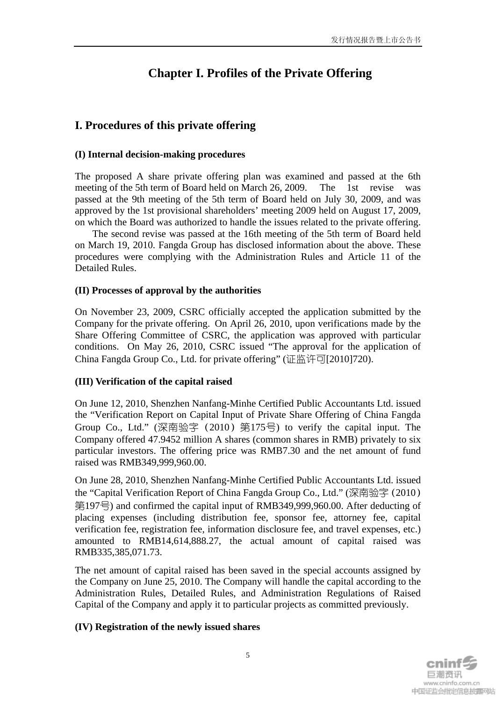# **Chapter I. Profiles of the Private Offering**

## **I. Procedures of this private offering**

## **(I) Internal decision-making procedures**

The proposed A share private offering plan was examined and passed at the 6th meeting of the 5th term of Board held on March 26, 2009. The 1st revise was passed at the 9th meeting of the 5th term of Board held on July 30, 2009, and was approved by the 1st provisional shareholders' meeting 2009 held on August 17, 2009, on which the Board was authorized to handle the issues related to the private offering.

 The second revise was passed at the 16th meeting of the 5th term of Board held on March 19, 2010. Fangda Group has disclosed information about the above. These procedures were complying with the Administration Rules and Article 11 of the Detailed Rules.

#### **(II) Processes of approval by the authorities**

On November 23, 2009, CSRC officially accepted the application submitted by the Company for the private offering. On April 26, 2010, upon verifications made by the Share Offering Committee of CSRC, the application was approved with particular conditions. On May 26, 2010, CSRC issued "The approval for the application of China Fangda Group Co., Ltd. for private offering" (证监许可[2010]720).

## **(III) Verification of the capital raised**

On June 12, 2010, Shenzhen Nanfang-Minhe Certified Public Accountants Ltd. issued the "Verification Report on Capital Input of Private Share Offering of China Fangda Group Co., Ltd." (深南验字(2010)第175号) to verify the capital input. The Company offered 47.9452 million A shares (common shares in RMB) privately to six particular investors. The offering price was RMB7.30 and the net amount of fund raised was RMB349,999,960.00.

On June 28, 2010, Shenzhen Nanfang-Minhe Certified Public Accountants Ltd. issued the "Capital Verification Report of China Fangda Group Co., Ltd." (深南验字(2010) 第197号) and confirmed the capital input of RMB349,999,960.00. After deducting of placing expenses (including distribution fee, sponsor fee, attorney fee, capital verification fee, registration fee, information disclosure fee, and travel expenses, etc.) amounted to RMB14,614,888.27, the actual amount of capital raised was RMB335,385,071.73.

The net amount of capital raised has been saved in the special accounts assigned by the Company on June 25, 2010. The Company will handle the capital according to the Administration Rules, Detailed Rules, and Administration Regulations of Raised Capital of the Company and apply it to particular projects as committed previously.

## **(IV) Registration of the newly issued shares**

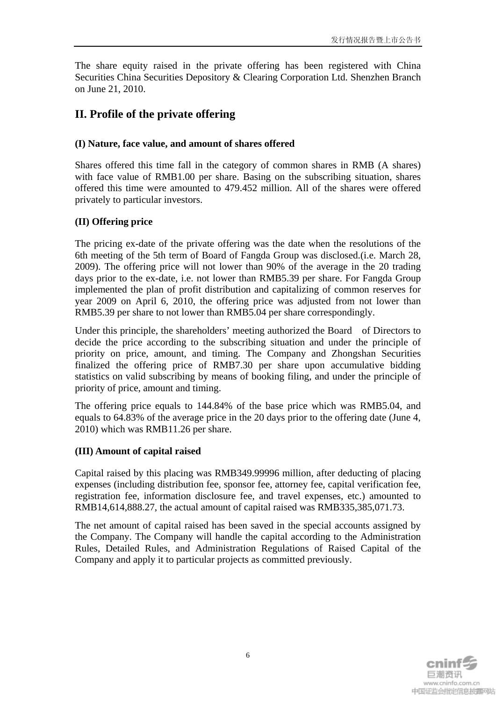The share equity raised in the private offering has been registered with China Securities China Securities Depository & Clearing Corporation Ltd. Shenzhen Branch on June 21, 2010.

## **II. Profile of the private offering**

## **(I) Nature, face value, and amount of shares offered**

Shares offered this time fall in the category of common shares in RMB (A shares) with face value of RMB1.00 per share. Basing on the subscribing situation, shares offered this time were amounted to 479.452 million. All of the shares were offered privately to particular investors.

## **(II) Offering price**

The pricing ex-date of the private offering was the date when the resolutions of the 6th meeting of the 5th term of Board of Fangda Group was disclosed.(i.e. March 28, 2009). The offering price will not lower than 90% of the average in the 20 trading days prior to the ex-date, i.e. not lower than RMB5.39 per share. For Fangda Group implemented the plan of profit distribution and capitalizing of common reserves for year 2009 on April 6, 2010, the offering price was adjusted from not lower than RMB5.39 per share to not lower than RMB5.04 per share correspondingly.

Under this principle, the shareholders' meeting authorized the Board of Directors to decide the price according to the subscribing situation and under the principle of priority on price, amount, and timing. The Company and Zhongshan Securities finalized the offering price of RMB7.30 per share upon accumulative bidding statistics on valid subscribing by means of booking filing, and under the principle of priority of price, amount and timing.

The offering price equals to 144.84% of the base price which was RMB5.04, and equals to 64.83% of the average price in the 20 days prior to the offering date (June 4, 2010) which was RMB11.26 per share.

## **(III) Amount of capital raised**

Capital raised by this placing was RMB349.99996 million, after deducting of placing expenses (including distribution fee, sponsor fee, attorney fee, capital verification fee, registration fee, information disclosure fee, and travel expenses, etc.) amounted to RMB14,614,888.27, the actual amount of capital raised was RMB335,385,071.73.

The net amount of capital raised has been saved in the special accounts assigned by the Company. The Company will handle the capital according to the Administration Rules, Detailed Rules, and Administration Regulations of Raised Capital of the Company and apply it to particular projects as committed previously.

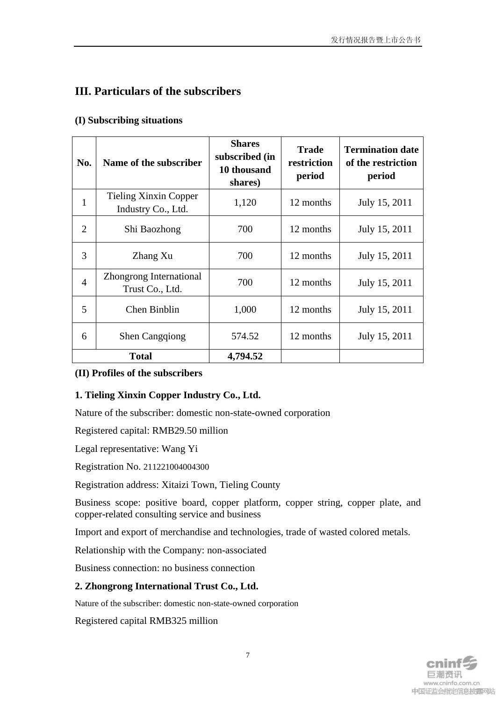# **III. Particulars of the subscribers**

## **(I) Subscribing situations**

| No.            | Name of the subscriber                             | <b>Shares</b><br>subscribed (in<br>10 thousand<br>shares) | <b>Trade</b><br>restriction<br>period | <b>Termination date</b><br>of the restriction<br>period |
|----------------|----------------------------------------------------|-----------------------------------------------------------|---------------------------------------|---------------------------------------------------------|
| $\mathbf{1}$   | <b>Tieling Xinxin Copper</b><br>Industry Co., Ltd. | 1,120                                                     | 12 months                             | July 15, 2011                                           |
| 2              | Shi Baozhong                                       | 700                                                       | 12 months                             | July 15, 2011                                           |
| 3              | Zhang Xu                                           | 700                                                       | 12 months                             | July 15, 2011                                           |
| $\overline{4}$ | Zhongrong International<br>Trust Co., Ltd.         | 700                                                       | 12 months                             | July 15, 2011                                           |
| 5              | Chen Binblin                                       | 1,000                                                     | 12 months                             | July 15, 2011                                           |
| 6              | <b>Shen Canggiong</b>                              | 574.52                                                    | 12 months                             | July 15, 2011                                           |
|                | <b>Total</b>                                       | 4,794.52                                                  |                                       |                                                         |

## **(II) Profiles of the subscribers**

## **1. Tieling Xinxin Copper Industry Co., Ltd.**

Nature of the subscriber: domestic non-state-owned corporation

Registered capital: RMB29.50 million

Legal representative: Wang Yi

Registration No. 211221004004300

Registration address: Xitaizi Town, Tieling County

Business scope: positive board, copper platform, copper string, copper plate, and copper-related consulting service and business

Import and export of merchandise and technologies, trade of wasted colored metals.

Relationship with the Company: non-associated

Business connection: no business connection

## **2. Zhongrong International Trust Co., Ltd.**

Nature of the subscriber: domestic non-state-owned corporation

Registered capital RMB325 million

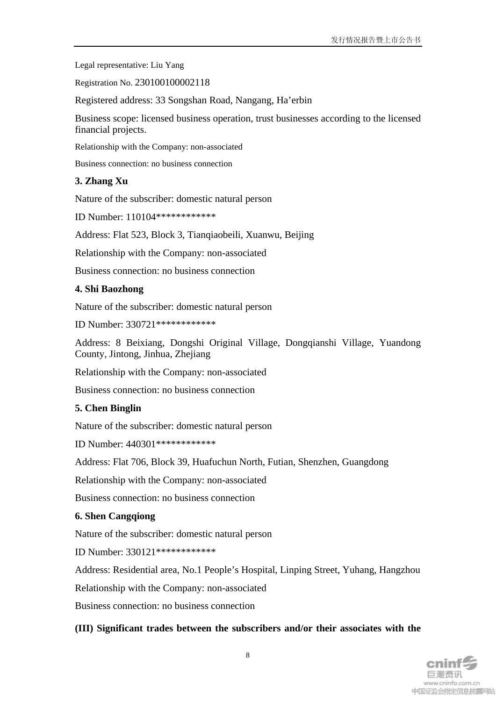Legal representative: Liu Yang

Registration No. 230100100002118

Registered address: 33 Songshan Road, Nangang, Ha'erbin

Business scope: licensed business operation, trust businesses according to the licensed financial projects.

Relationship with the Company: non-associated

Business connection: no business connection

## **3. Zhang Xu**

Nature of the subscriber: domestic natural person

ID Number: 110104\*\*\*\*\*\*\*\*\*\*\*\*

Address: Flat 523, Block 3, Tianqiaobeili, Xuanwu, Beijing

Relationship with the Company: non-associated

Business connection: no business connection

#### **4. Shi Baozhong**

Nature of the subscriber: domestic natural person

ID Number: 330721\*\*\*\*\*\*\*\*\*\*\*\*

Address: 8 Beixiang, Dongshi Original Village, Dongqianshi Village, Yuandong County, Jintong, Jinhua, Zhejiang

Relationship with the Company: non-associated

Business connection: no business connection

## **5. Chen Binglin**

Nature of the subscriber: domestic natural person

ID Number: 440301\*\*\*\*\*\*\*\*\*\*\*\*

Address: Flat 706, Block 39, Huafuchun North, Futian, Shenzhen, Guangdong

Relationship with the Company: non-associated

Business connection: no business connection

## **6. Shen Cangqiong**

Nature of the subscriber: domestic natural person

ID Number: 330121\*\*\*\*\*\*\*\*\*\*\*\*

Address: Residential area, No.1 People's Hospital, Linping Street, Yuhang, Hangzhou

Relationship with the Company: non-associated

Business connection: no business connection

## **(III) Significant trades between the subscribers and/or their associates with the**

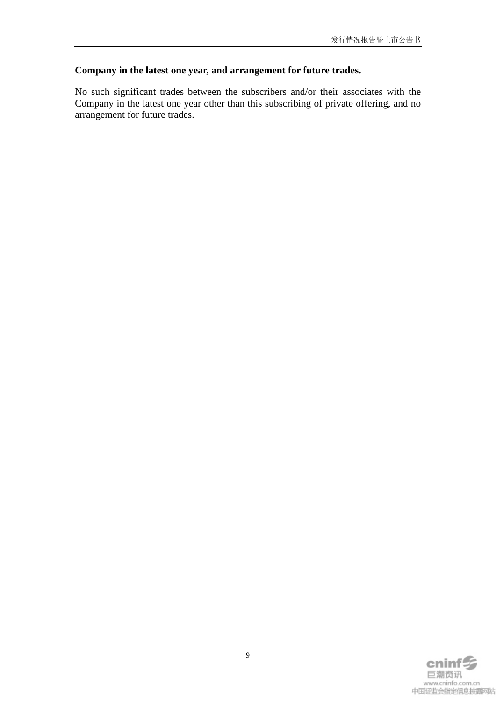## **Company in the latest one year, and arrangement for future trades.**

No such significant trades between the subscribers and/or their associates with the Company in the latest one year other than this subscribing of private offering, and no arrangement for future trades.

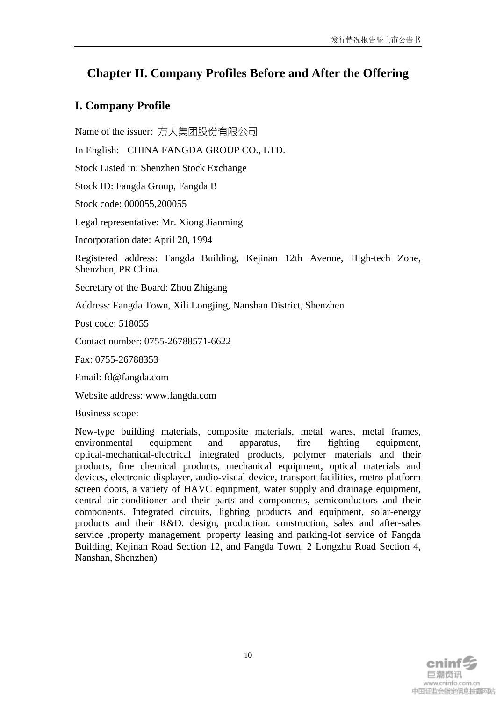# **Chapter II. Company Profiles Before and After the Offering**

## **I. Company Profile**

Name of the issuer: 方大集团股份有限公司 In English: CHINA FANGDA GROUP CO., LTD. Stock Listed in: Shenzhen Stock Exchange Stock ID: Fangda Group, Fangda B Stock code: 000055,200055 Legal representative: Mr. Xiong Jianming Incorporation date: April 20, 1994 Registered address: Fangda Building, Kejinan 12th Avenue, High-tech Zone, Shenzhen, PR China. Secretary of the Board: Zhou Zhigang Address: Fangda Town, Xili Longjing, Nanshan District, Shenzhen Post code: 518055 Contact number: 0755-26788571-6622 Fax: 0755-26788353

Email: fd@fangda.com

Website address: www.fangda.com

Business scope:

New-type building materials, composite materials, metal wares, metal frames, environmental equipment and apparatus, fire fighting equipment, optical-mechanical-electrical integrated products, polymer materials and their products, fine chemical products, mechanical equipment, optical materials and devices, electronic displayer, audio-visual device, transport facilities, metro platform screen doors, a variety of HAVC equipment, water supply and drainage equipment, central air-conditioner and their parts and components, semiconductors and their components. Integrated circuits, lighting products and equipment, solar-energy products and their R&D. design, production. construction, sales and after-sales service ,property management, property leasing and parking-lot service of Fangda Building, Kejinan Road Section 12, and Fangda Town, 2 Longzhu Road Section 4, Nanshan, Shenzhen)

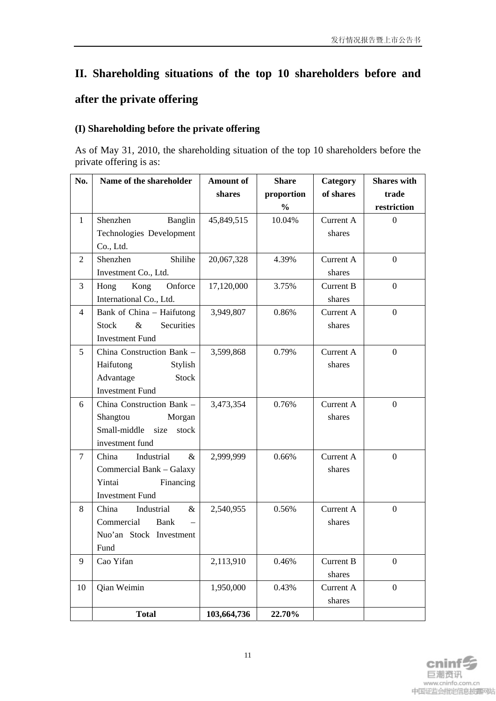## **II. Shareholding situations of the top 10 shareholders before and**

## **after the private offering**

## **(I) Shareholding before the private offering**

As of May 31, 2010, the shareholding situation of the top 10 shareholders before the private offering is as:

| No.            | Name of the shareholder            | <b>Amount of</b> | <b>Share</b>  | Category         | <b>Shares with</b> |
|----------------|------------------------------------|------------------|---------------|------------------|--------------------|
|                |                                    | shares           | proportion    | of shares        | trade              |
|                |                                    |                  | $\frac{0}{0}$ |                  | restriction        |
| $\mathbf{1}$   | Shenzhen<br>Banglin                | 45,849,515       | 10.04%        | Current A        | $\boldsymbol{0}$   |
|                | Technologies Development           |                  |               | shares           |                    |
|                | Co., Ltd.                          |                  |               |                  |                    |
| $\overline{2}$ | Shenzhen<br>Shilihe                | 20,067,328       | 4.39%         | Current A        | $\overline{0}$     |
|                | Investment Co., Ltd.               |                  |               | shares           |                    |
| 3              | Hong<br>Kong<br>Onforce            | 17,120,000       | 3.75%         | <b>Current B</b> | $\boldsymbol{0}$   |
|                | International Co., Ltd.            |                  |               | shares           |                    |
| $\overline{4}$ | Bank of China - Haifutong          | 3,949,807        | 0.86%         | Current A        | $\boldsymbol{0}$   |
|                | $\&$<br>Securities<br><b>Stock</b> |                  |               | shares           |                    |
|                | <b>Investment Fund</b>             |                  |               |                  |                    |
| 5              | China Construction Bank -          | 3,599,868        | 0.79%         | Current A        | $\mathbf{0}$       |
|                | Haifutong<br>Stylish               |                  |               | shares           |                    |
|                | Advantage<br>Stock                 |                  |               |                  |                    |
|                | <b>Investment Fund</b>             |                  |               |                  |                    |
| 6              | China Construction Bank -          | 3,473,354        | 0.76%         | Current A        | $\boldsymbol{0}$   |
|                | Shangtou<br>Morgan                 |                  |               | shares           |                    |
|                | Small-middle<br>size<br>stock      |                  |               |                  |                    |
|                | investment fund                    |                  |               |                  |                    |
| 7              | Industrial<br>China<br>&           | 2,999,999        | 0.66%         | Current A        | $\overline{0}$     |
|                | Commercial Bank - Galaxy           |                  |               | shares           |                    |
|                | Financing<br>Yintai                |                  |               |                  |                    |
|                | <b>Investment Fund</b>             |                  |               |                  |                    |
| 8              | Industrial<br>China<br>&           | 2,540,955        | 0.56%         | Current A        | $\boldsymbol{0}$   |
|                | Commercial<br>Bank                 |                  |               | shares           |                    |
|                | Nuo'an Stock Investment            |                  |               |                  |                    |
|                | Fund                               |                  |               |                  |                    |
| 9              | Cao Yifan                          | 2,113,910        | 0.46%         | <b>Current B</b> | $\boldsymbol{0}$   |
|                |                                    |                  |               | shares           |                    |
| 10             | Qian Weimin                        | 1,950,000        | 0.43%         | Current A        | $\boldsymbol{0}$   |
|                |                                    |                  |               | shares           |                    |
|                | <b>Total</b>                       | 103,664,736      | 22.70%        |                  |                    |

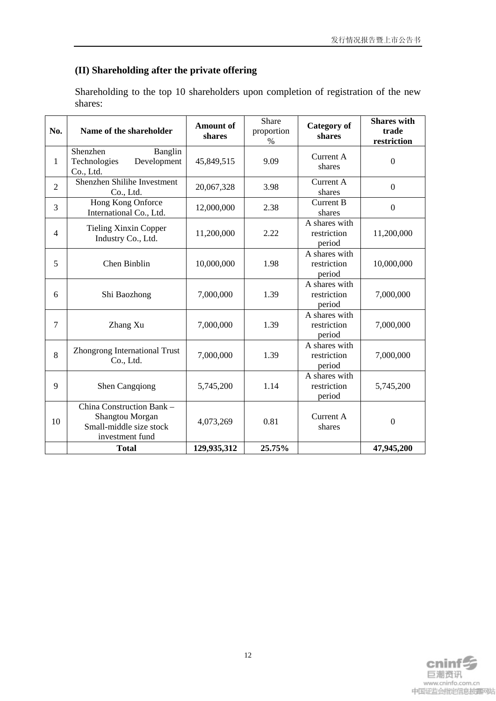## **(II) Shareholding after the private offering**

Shareholding to the top 10 shareholders upon completion of registration of the new shares:

| No.            | Name of the shareholder                                                                    | <b>Amount of</b><br>shares | Share<br>proportion<br>% | <b>Category</b> of<br>shares           | <b>Shares</b> with<br>trade<br>restriction |
|----------------|--------------------------------------------------------------------------------------------|----------------------------|--------------------------|----------------------------------------|--------------------------------------------|
| $\mathbf{1}$   | Shenzhen<br>Banglin<br>Technologies<br>Development<br>Co., Ltd.                            | 45,849,515                 | 9.09                     | Current A<br>shares                    | $\boldsymbol{0}$                           |
| $\overline{2}$ | Shenzhen Shilihe Investment<br>Co., Ltd.                                                   | 20,067,328                 | 3.98                     | <b>Current A</b><br>shares             | $\theta$                                   |
| 3              | Hong Kong Onforce<br>International Co., Ltd.                                               | 12,000,000                 | 2.38                     | <b>Current B</b><br>shares             | $\mathbf{0}$                               |
| $\overline{4}$ | <b>Tieling Xinxin Copper</b><br>Industry Co., Ltd.                                         | 11,200,000                 | 2.22                     | A shares with<br>restriction<br>period | 11,200,000                                 |
| 5              | Chen Binblin                                                                               | 10,000,000                 | 1.98                     | A shares with<br>restriction<br>period | 10,000,000                                 |
| 6              | Shi Baozhong                                                                               | 7,000,000                  | 1.39                     | A shares with<br>restriction<br>period | 7,000,000                                  |
| $\tau$         | Zhang Xu                                                                                   | 7,000,000                  | 1.39                     | A shares with<br>restriction<br>period | 7,000,000                                  |
| 8              | <b>Zhongrong International Trust</b><br>Co., Ltd.                                          | 7,000,000                  | 1.39                     | A shares with<br>restriction<br>period | 7,000,000                                  |
| 9              | Shen Cangqiong                                                                             | 5,745,200                  | 1.14                     | A shares with<br>restriction<br>period | 5,745,200                                  |
| 10             | China Construction Bank -<br>Shangtou Morgan<br>Small-middle size stock<br>investment fund | 4,073,269                  | 0.81                     | <b>Current A</b><br>shares             | $\boldsymbol{0}$                           |
|                | <b>Total</b>                                                                               | 129,935,312                | 25.75%                   |                                        | 47,945,200                                 |

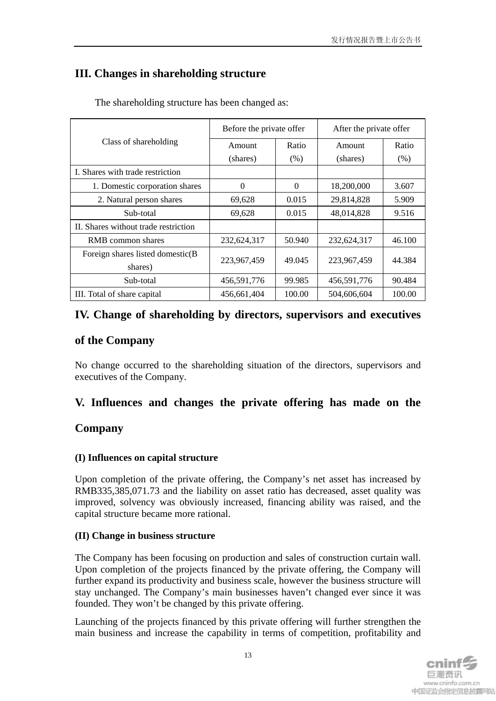# **III. Changes in shareholding structure**

|                                              | Before the private offer |          | After the private offer |        |
|----------------------------------------------|--------------------------|----------|-------------------------|--------|
| Class of shareholding                        | Amount                   | Ratio    | Amount                  | Ratio  |
|                                              | (shares)                 | (% )     | (shares)                | (% )   |
| I. Shares with trade restriction             |                          |          |                         |        |
| 1. Domestic corporation shares               | $\theta$                 | $\Omega$ | 18,200,000              | 3.607  |
| 2. Natural person shares                     | 69,628                   | 0.015    | 29,814,828              | 5.909  |
| Sub-total                                    | 69,628                   | 0.015    | 48,014,828              | 9.516  |
| II. Shares without trade restriction         |                          |          |                         |        |
| RMB common shares                            | 232,624,317              | 50.940   | 232,624,317             | 46.100 |
| Foreign shares listed domestic(B)<br>shares) | 223,967,459              | 49.045   | 223,967,459             | 44.384 |
| Sub-total                                    | 456,591,776              | 99.985   | 456,591,776             | 90.484 |
| III. Total of share capital                  | 456,661,404              | 100.00   | 504,606,604             | 100.00 |

The shareholding structure has been changed as:

## **IV. Change of shareholding by directors, supervisors and executives**

## **of the Company**

No change occurred to the shareholding situation of the directors, supervisors and executives of the Company.

## **V. Influences and changes the private offering has made on the**

## **Company**

## **(I) Influences on capital structure**

Upon completion of the private offering, the Company's net asset has increased by RMB335,385,071.73 and the liability on asset ratio has decreased, asset quality was improved, solvency was obviously increased, financing ability was raised, and the capital structure became more rational.

## **(II) Change in business structure**

The Company has been focusing on production and sales of construction curtain wall. Upon completion of the projects financed by the private offering, the Company will further expand its productivity and business scale, however the business structure will stay unchanged. The Company's main businesses haven't changed ever since it was founded. They won't be changed by this private offering.

Launching of the projects financed by this private offering will further strengthen the main business and increase the capability in terms of competition, profitability and

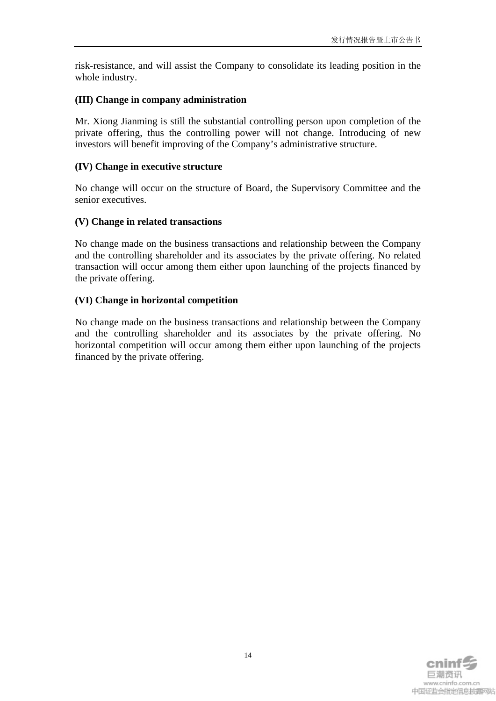risk-resistance, and will assist the Company to consolidate its leading position in the whole industry.

#### **(III) Change in company administration**

Mr. Xiong Jianming is still the substantial controlling person upon completion of the private offering, thus the controlling power will not change. Introducing of new investors will benefit improving of the Company's administrative structure.

#### **(IV) Change in executive structure**

No change will occur on the structure of Board, the Supervisory Committee and the senior executives.

#### **(V) Change in related transactions**

No change made on the business transactions and relationship between the Company and the controlling shareholder and its associates by the private offering. No related transaction will occur among them either upon launching of the projects financed by the private offering.

#### **(VI) Change in horizontal competition**

No change made on the business transactions and relationship between the Company and the controlling shareholder and its associates by the private offering. No horizontal competition will occur among them either upon launching of the projects financed by the private offering.

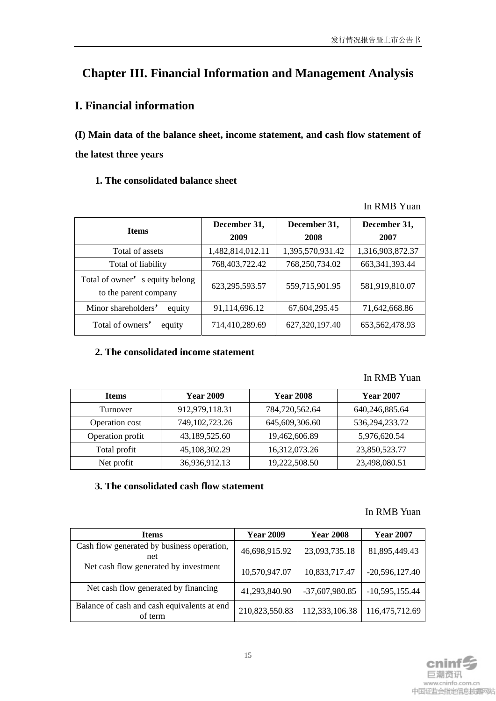# **Chapter III. Financial Information and Management Analysis**

## **I. Financial information**

**(I) Main data of the balance sheet, income statement, and cash flow statement of the latest three years** 

## **1. The consolidated balance sheet**

In RMB Yuan

| <b>Items</b>                                             | December 31,<br>2009 | December 31,<br>2008 | December 31,<br>2007 |
|----------------------------------------------------------|----------------------|----------------------|----------------------|
| Total of assets                                          | 1,482,814,012.11     | 1,395,570,931.42     | 1,316,903,872.37     |
| Total of liability                                       | 768,403,722.42       | 768,250,734.02       | 663, 341, 393. 44    |
| Total of owner' s equity belong<br>to the parent company | 623,295,593.57       | 559,715,901.95       | 581,919,810.07       |
| Minor shareholders'<br>equity                            | 91,114,696.12        | 67,604,295.45        | 71,642,668.86        |
| Total of owners'<br>equity                               | 714,410,289.69       | 627,320,197.40       | 653, 562, 478. 93    |

## **2. The consolidated income statement**

## In RMB Yuan

| <b>Items</b>     | <b>Year 2009</b>  | <b>Year 2008</b> | <b>Year 2007</b>  |
|------------------|-------------------|------------------|-------------------|
| Turnover         | 912,979,118.31    | 784,720,562.64   | 640,246,885.64    |
| Operation cost   | 749, 102, 723. 26 | 645,609,306.60   | 536, 294, 233. 72 |
| Operation profit | 43,189,525.60     | 19,462,606.89    | 5,976,620.54      |
| Total profit     | 45,108,302.29     | 16,312,073.26    | 23,850,523.77     |
| Net profit       | 36,936,912.13     | 19,222,508.50    | 23,498,080.51     |

## **3. The consolidated cash flow statement**

#### In RMB Yuan

| <b>Items</b>                                           | <b>Year 2009</b> | <b>Year 2008</b> | <b>Year 2007</b> |
|--------------------------------------------------------|------------------|------------------|------------------|
| Cash flow generated by business operation,<br>net      | 46,698,915.92    | 23,093,735.18    | 81,895,449.43    |
| Net cash flow generated by investment                  | 10,570,947.07    | 10,833,717.47    | $-20,596,127.40$ |
| Net cash flow generated by financing                   | 41,293,840.90    | $-37,607,980.85$ | $-10,595,155.44$ |
| Balance of cash and cash equivalents at end<br>of term | 210,823,550.83   | 112,333,106.38   | 116,475,712.69   |

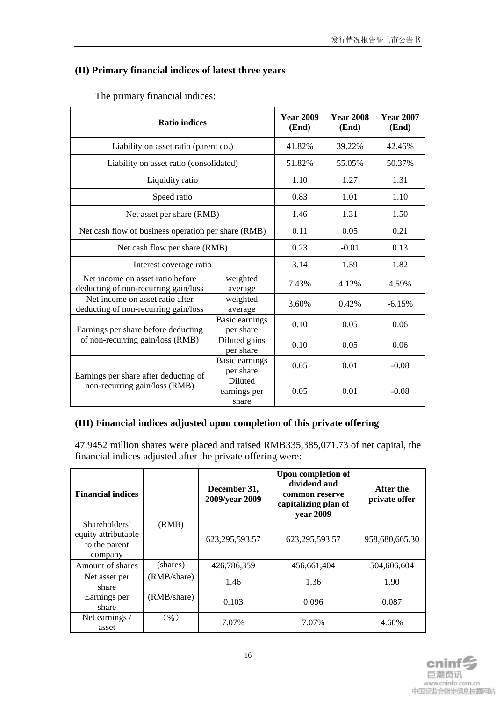## **(II) Primary financial indices of latest three years**

| <b>Ratio indices</b>                                                     | <b>Year 2009</b><br>(End)        | <b>Year 2008</b><br>(End) | <b>Year 2007</b><br>(End) |          |
|--------------------------------------------------------------------------|----------------------------------|---------------------------|---------------------------|----------|
| Liability on asset ratio (parent co.)                                    |                                  | 41.82%                    | 39.22%                    | 42.46%   |
| Liability on asset ratio (consolidated)                                  |                                  | 51.82%                    | 55.05%                    | 50.37%   |
| Liquidity ratio                                                          |                                  | 1.10                      | 1.27                      | 1.31     |
| Speed ratio                                                              |                                  | 0.83                      | 1.01                      | 1.10     |
| Net asset per share (RMB)                                                |                                  | 1.46                      | 1.31                      | 1.50     |
| Net cash flow of business operation per share (RMB)                      |                                  | 0.11                      | 0.05                      | 0.21     |
| Net cash flow per share (RMB)                                            |                                  | 0.23                      | $-0.01$                   | 0.13     |
| Interest coverage ratio                                                  |                                  | 3.14                      | 1.59                      | 1.82     |
| Net income on asset ratio before<br>deducting of non-recurring gain/loss | weighted<br>average              | 7.43%                     | 4.12%                     | 4.59%    |
| Net income on asset ratio after<br>deducting of non-recurring gain/loss  | weighted<br>average              | 3.60%                     | 0.42%                     | $-6.15%$ |
| Earnings per share before deducting                                      | Basic earnings<br>per share      | 0.10                      | 0.05                      | 0.06     |
| of non-recurring gain/loss (RMB)                                         | Diluted gains<br>per share       | 0.10                      | 0.05                      | 0.06     |
|                                                                          | Basic earnings<br>per share      | 0.05                      | 0.01                      | $-0.08$  |
| Earnings per share after deducting of<br>non-recurring gain/loss (RMB)   | Diluted<br>earnings per<br>share | 0.05                      | 0.01                      | $-0.08$  |

The primary financial indices:

## **(III) Financial indices adjusted upon completion of this private offering**

47.9452 million shares were placed and raised RMB335,385,071.73 of net capital, the financial indices adjusted after the private offering were:

| <b>Financial indices</b>                                         |             | December 31,<br>2009/year 2009 | <b>Upon completion of</b><br>dividend and<br>common reserve<br>capitalizing plan of<br>year 2009 | After the<br>private offer |
|------------------------------------------------------------------|-------------|--------------------------------|--------------------------------------------------------------------------------------------------|----------------------------|
| Shareholders'<br>equity attributable<br>to the parent<br>company | (RMB)       | 623,295,593.57                 | 623,295,593.57                                                                                   | 958,680,665.30             |
| Amount of shares                                                 | (shares)    | 426,786,359                    | 456,661,404                                                                                      | 504,606,604                |
| Net asset per<br>share                                           | (RMB/share) | 1.46                           | 1.36                                                                                             | 1.90                       |
| Earnings per<br>share                                            | (RMB/share) | 0.103                          | 0.096                                                                                            | 0.087                      |
| Net earnings /<br>asset                                          | (96)        | 7.07%                          | 7.07%                                                                                            | 4.60%                      |

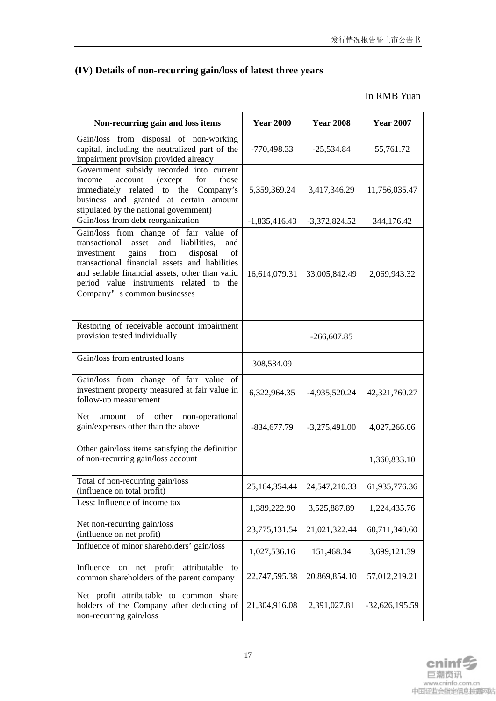## **(IV) Details of non-recurring gain/loss of latest three years**

| Non-recurring gain and loss items                                                                                                                                                                                                                                                                                                 | <b>Year 2009</b> | <b>Year 2008</b> | <b>Year 2007</b> |
|-----------------------------------------------------------------------------------------------------------------------------------------------------------------------------------------------------------------------------------------------------------------------------------------------------------------------------------|------------------|------------------|------------------|
| Gain/loss from disposal of non-working<br>capital, including the neutralized part of the<br>impairment provision provided already                                                                                                                                                                                                 | -770,498.33      | $-25,534.84$     | 55,761.72        |
| Government subsidy recorded into current<br>(except<br>for<br>those<br>income<br>account<br>immediately related to the Company's<br>business and granted at certain amount<br>stipulated by the national government)                                                                                                              | 5,359,369.24     | 3,417,346.29     | 11,756,035.47    |
| Gain/loss from debt reorganization                                                                                                                                                                                                                                                                                                | $-1,835,416.43$  | $-3,372,824.52$  | 344,176.42       |
| Gain/loss from change of fair value of<br>transactional<br>asset<br>and<br>liabilities,<br>and<br>gains<br>from<br>disposal<br>of<br>investment<br>transactional financial assets and liabilities<br>and sellable financial assets, other than valid<br>period value instruments related to<br>the<br>Company's common businesses | 16,614,079.31    | 33,005,842.49    | 2,069,943.32     |
| Restoring of receivable account impairment<br>provision tested individually                                                                                                                                                                                                                                                       |                  | $-266,607.85$    |                  |
| Gain/loss from entrusted loans                                                                                                                                                                                                                                                                                                    | 308,534.09       |                  |                  |
| Gain/loss from change of fair value of<br>investment property measured at fair value in<br>follow-up measurement                                                                                                                                                                                                                  | 6,322,964.35     | $-4,935,520.24$  | 42,321,760.27    |
| non-operational<br><b>Net</b><br>of<br>other<br>amount<br>gain/expenses other than the above                                                                                                                                                                                                                                      | $-834,677.79$    | $-3,275,491.00$  | 4,027,266.06     |
| Other gain/loss items satisfying the definition<br>of non-recurring gain/loss account                                                                                                                                                                                                                                             |                  |                  | 1,360,833.10     |
| Total of non-recurring gain/loss<br>(influence on total profit)                                                                                                                                                                                                                                                                   | 25,164,354.44    | 24,547,210.33    | 61,935,776.36    |
| Less: Influence of income tax                                                                                                                                                                                                                                                                                                     | 1,389,222.90     | 3,525,887.89     | 1,224,435.76     |
| Net non-recurring gain/loss<br>(influence on net profit)                                                                                                                                                                                                                                                                          | 23,775,131.54    | 21,021,322.44    | 60,711,340.60    |
| Influence of minor shareholders' gain/loss                                                                                                                                                                                                                                                                                        | 1,027,536.16     | 151,468.34       | 3,699,121.39     |
| on net profit<br>attributable<br>Influence<br>to<br>common shareholders of the parent company                                                                                                                                                                                                                                     | 22,747,595.38    | 20,869,854.10    | 57,012,219.21    |
| Net profit attributable to common share<br>holders of the Company after deducting of<br>non-recurring gain/loss                                                                                                                                                                                                                   | 21,304,916.08    | 2,391,027.81     | $-32,626,195.59$ |



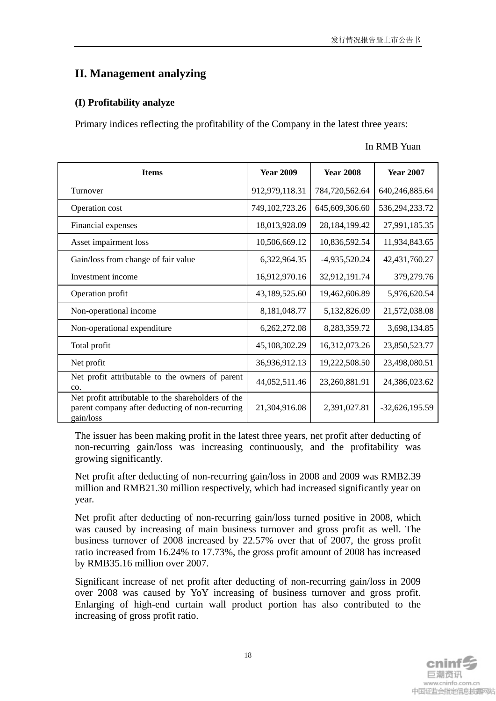## **II. Management analyzing**

## **(I) Profitability analyze**

Primary indices reflecting the profitability of the Company in the latest three years:

| In RMB Yuan |  |
|-------------|--|
|-------------|--|

| <b>Items</b>                                                                                                       | <b>Year 2009</b>  | <b>Year 2008</b> | <b>Year 2007</b> |
|--------------------------------------------------------------------------------------------------------------------|-------------------|------------------|------------------|
| Turnover                                                                                                           | 912,979,118.31    | 784,720,562.64   | 640,246,885.64   |
| Operation cost                                                                                                     | 749, 102, 723. 26 | 645,609,306.60   | 536,294,233.72   |
| Financial expenses                                                                                                 | 18,013,928.09     | 28, 184, 199. 42 | 27,991,185.35    |
| Asset impairment loss                                                                                              | 10,506,669.12     | 10,836,592.54    | 11,934,843.65    |
| Gain/loss from change of fair value                                                                                | 6,322,964.35      | -4,935,520.24    | 42, 431, 760. 27 |
| Investment income                                                                                                  | 16,912,970.16     | 32,912,191.74    | 379,279.76       |
| Operation profit                                                                                                   | 43,189,525.60     | 19,462,606.89    | 5,976,620.54     |
| Non-operational income                                                                                             | 8,181,048.77      | 5,132,826.09     | 21,572,038.08    |
| Non-operational expenditure                                                                                        | 6,262,272.08      | 8,283,359.72     | 3,698,134.85     |
| Total profit                                                                                                       | 45,108,302.29     | 16,312,073.26    | 23,850,523.77    |
| Net profit                                                                                                         | 36,936,912.13     | 19,222,508.50    | 23,498,080.51    |
| Net profit attributable to the owners of parent<br>CO.                                                             | 44,052,511.46     | 23,260,881.91    | 24,386,023.62    |
| Net profit attributable to the shareholders of the<br>parent company after deducting of non-recurring<br>gain/loss | 21,304,916.08     | 2,391,027.81     | $-32,626,195.59$ |

The issuer has been making profit in the latest three years, net profit after deducting of non-recurring gain/loss was increasing continuously, and the profitability was growing significantly.

Net profit after deducting of non-recurring gain/loss in 2008 and 2009 was RMB2.39 million and RMB21.30 million respectively, which had increased significantly year on year.

Net profit after deducting of non-recurring gain/loss turned positive in 2008, which was caused by increasing of main business turnover and gross profit as well. The business turnover of 2008 increased by 22.57% over that of 2007, the gross profit ratio increased from 16.24% to 17.73%, the gross profit amount of 2008 has increased by RMB35.16 million over 2007.

Significant increase of net profit after deducting of non-recurring gain/loss in 2009 over 2008 was caused by YoY increasing of business turnover and gross profit. Enlarging of high-end curtain wall product portion has also contributed to the increasing of gross profit ratio.

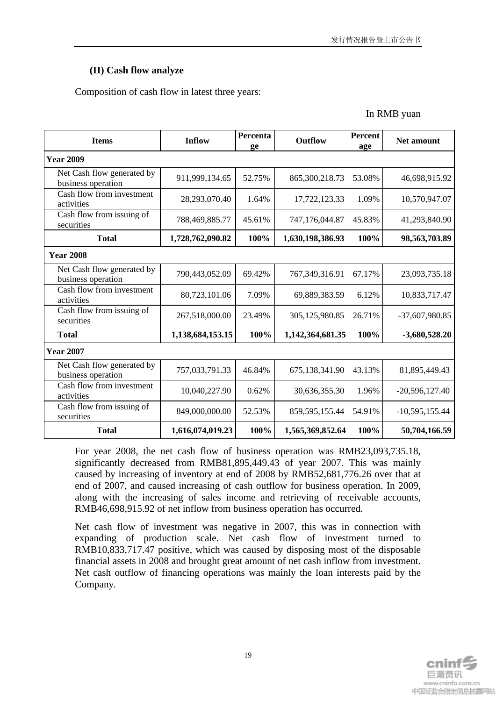## **(II) Cash flow analyze**

Composition of cash flow in latest three years:

| <b>Items</b>                                     | Inflow           | Percenta<br>ge | Outflow           | Percent<br>age | <b>Net amount</b> |
|--------------------------------------------------|------------------|----------------|-------------------|----------------|-------------------|
| <b>Year 2009</b>                                 |                  |                |                   |                |                   |
| Net Cash flow generated by<br>business operation | 911,999,134.65   | 52.75%         | 865,300,218.73    | 53.08%         | 46,698,915.92     |
| Cash flow from investment<br>activities          | 28,293,070.40    | 1.64%          | 17,722,123.33     | 1.09%          | 10,570,947.07     |
| Cash flow from issuing of<br>securities          | 788,469,885.77   | 45.61%         | 747,176,044.87    | 45.83%         | 41,293,840.90     |
| <b>Total</b>                                     | 1,728,762,090.82 | 100%           | 1,630,198,386.93  | 100%           | 98,563,703.89     |
| <b>Year 2008</b>                                 |                  |                |                   |                |                   |
| Net Cash flow generated by<br>business operation | 790,443,052.09   | 69.42%         | 767, 349, 316. 91 | 67.17%         | 23,093,735.18     |
| Cash flow from investment<br>activities          | 80,723,101.06    | 7.09%          | 69,889,383.59     | 6.12%          | 10,833,717.47     |
| Cash flow from issuing of<br>securities          | 267,518,000.00   | 23.49%         | 305,125,980.85    | 26.71%         | -37,607,980.85    |
| <b>Total</b>                                     | 1,138,684,153.15 | 100%           | 1,142,364,681.35  | 100%           | $-3,680,528.20$   |
| <b>Year 2007</b>                                 |                  |                |                   |                |                   |
| Net Cash flow generated by<br>business operation | 757,033,791.33   | 46.84%         | 675,138,341.90    | 43.13%         | 81,895,449.43     |
| Cash flow from investment<br>activities          | 10,040,227.90    | 0.62%          | 30,636,355.30     | 1.96%          | $-20,596,127.40$  |
| Cash flow from issuing of<br>securities          | 849,000,000.00   | 52.53%         | 859, 595, 155.44  | 54.91%         | $-10,595,155.44$  |
| <b>Total</b>                                     | 1,616,074,019.23 | 100%           | 1,565,369,852.64  | 100%           | 50,704,166.59     |

#### In RMB yuan

For year 2008, the net cash flow of business operation was RMB23,093,735.18, significantly decreased from RMB81,895,449.43 of year 2007. This was mainly caused by increasing of inventory at end of 2008 by RMB52,681,776.26 over that at end of 2007, and caused increasing of cash outflow for business operation. In 2009, along with the increasing of sales income and retrieving of receivable accounts, RMB46,698,915.92 of net inflow from business operation has occurred.

Net cash flow of investment was negative in 2007, this was in connection with expanding of production scale. Net cash flow of investment turned to RMB10,833,717.47 positive, which was caused by disposing most of the disposable financial assets in 2008 and brought great amount of net cash inflow from investment. Net cash outflow of financing operations was mainly the loan interests paid by the Company.

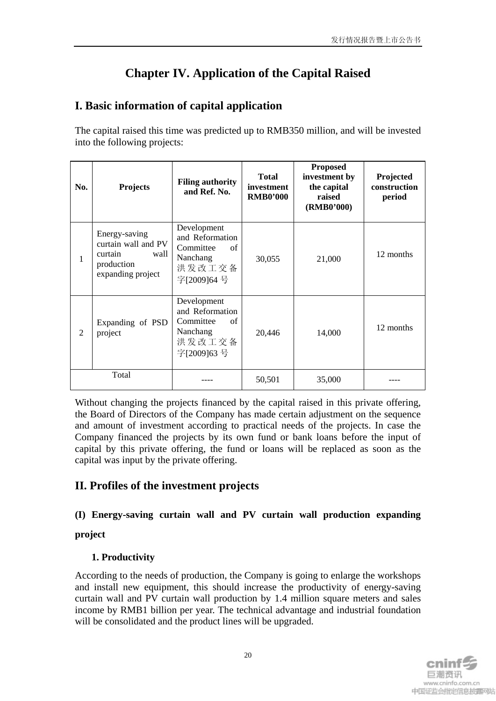# **Chapter IV. Application of the Capital Raised**

## **I. Basic information of capital application**

The capital raised this time was predicted up to RMB350 million, and will be invested into the following projects:

| No.            | <b>Projects</b>                                                                            | <b>Filing authority</b><br>and Ref. No.                                               | <b>Total</b><br>investment<br><b>RMB0'000</b> | <b>Proposed</b><br>investment by<br>the capital<br>raised<br>(RMB0'000) | Projected<br>construction<br>period |
|----------------|--------------------------------------------------------------------------------------------|---------------------------------------------------------------------------------------|-----------------------------------------------|-------------------------------------------------------------------------|-------------------------------------|
| $\mathbf{1}$   | Energy-saving<br>curtain wall and PV<br>curtain<br>wall<br>production<br>expanding project | Development<br>and Reformation<br>Committee<br>of<br>Nanchang<br>洪发改工交备<br>字[2009]64号 | 30,055                                        | 21,000                                                                  | 12 months                           |
| $\overline{2}$ | Expanding of PSD<br>project                                                                | Development<br>and Reformation<br>Committee<br>of<br>Nanchang<br>洪发改工交备<br>字[2009]63号 | 20,446                                        | 14,000                                                                  | 12 months                           |
|                | Total                                                                                      |                                                                                       | 50,501                                        | 35,000                                                                  |                                     |

Without changing the projects financed by the capital raised in this private offering, the Board of Directors of the Company has made certain adjustment on the sequence and amount of investment according to practical needs of the projects. In case the Company financed the projects by its own fund or bank loans before the input of capital by this private offering, the fund or loans will be replaced as soon as the capital was input by the private offering.

## **II. Profiles of the investment projects**

# **(I) Energy-saving curtain wall and PV curtain wall production expanding**

**project** 

## **1. Productivity**

According to the needs of production, the Company is going to enlarge the workshops and install new equipment, this should increase the productivity of energy-saving curtain wall and PV curtain wall production by 1.4 million square meters and sales income by RMB1 billion per year. The technical advantage and industrial foundation will be consolidated and the product lines will be upgraded.

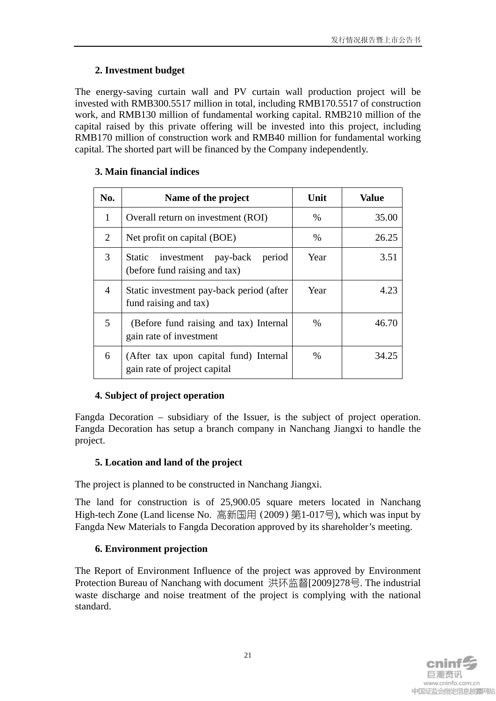## **2. Investment budget**

The energy-saving curtain wall and PV curtain wall production project will be invested with RMB300.5517 million in total, including RMB170.5517 of construction work, and RMB130 million of fundamental working capital. RMB210 million of the capital raised by this private offering will be invested into this project, including RMB170 million of construction work and RMB40 million for fundamental working capital. The shorted part will be financed by the Company independently.

## **3. Main financial indices**

| No.            | Name of the project                                                      | Unit | <b>Value</b> |
|----------------|--------------------------------------------------------------------------|------|--------------|
| 1              | Overall return on investment (ROI)                                       | $\%$ | 35.00        |
| 2              | Net profit on capital (BOE)                                              | $\%$ | 26.25        |
| 3              | investment pay-back<br>Static<br>period<br>(before fund raising and tax) | Year | 3.51         |
| $\overline{4}$ | Static investment pay-back period (after<br>fund raising and tax)        | Year | 4.23         |
| 5              | (Before fund raising and tax) Internal<br>gain rate of investment        | $\%$ | 46.70        |
| 6              | (After tax upon capital fund) Internal<br>gain rate of project capital   | $\%$ | 34.25        |

## **4. Subject of project operation**

Fangda Decoration – subsidiary of the Issuer, is the subject of project operation. Fangda Decoration has setup a branch company in Nanchang Jiangxi to handle the project.

## **5. Location and land of the project**

The project is planned to be constructed in Nanchang Jiangxi.

The land for construction is of 25,900.05 square meters located in Nanchang High-tech Zone (Land license No. 高新国用(2009)第1-017号), which was input by Fangda New Materials to Fangda Decoration approved by its shareholder's meeting.

## **6. Environment projection**

The Report of Environment Influence of the project was approved by Environment Protection Bureau of Nanchang with document 洪环监督[2009]278号. The industrial waste discharge and noise treatment of the project is complying with the national standard.

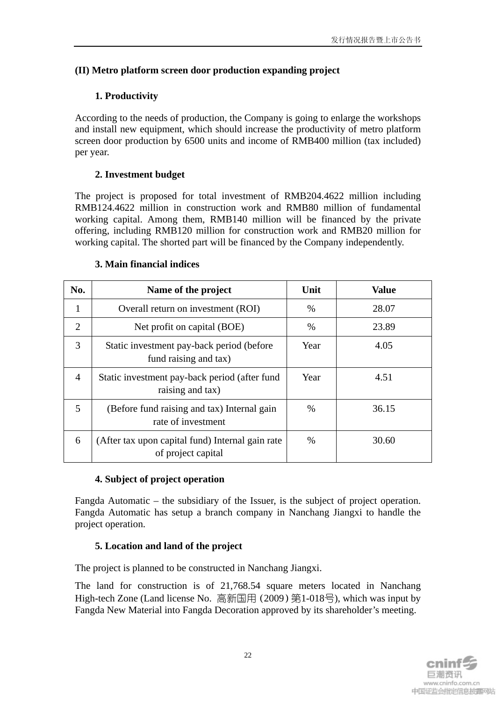## **(II) Metro platform screen door production expanding project**

## **1. Productivity**

According to the needs of production, the Company is going to enlarge the workshops and install new equipment, which should increase the productivity of metro platform screen door production by 6500 units and income of RMB400 million (tax included) per year.

## **2. Investment budget**

The project is proposed for total investment of RMB204.4622 million including RMB124.4622 million in construction work and RMB80 million of fundamental working capital. Among them, RMB140 million will be financed by the private offering, including RMB120 million for construction work and RMB20 million for working capital. The shorted part will be financed by the Company independently.

#### **3. Main financial indices**

| No. | Name of the project                                                    | Unit | <b>Value</b> |
|-----|------------------------------------------------------------------------|------|--------------|
| 1   | Overall return on investment (ROI)                                     | $\%$ | 28.07        |
| 2   | Net profit on capital (BOE)                                            | $\%$ | 23.89        |
| 3   | Static investment pay-back period (before)<br>fund raising and tax)    | Year | 4.05         |
| 4   | Static investment pay-back period (after fund<br>raising and tax)      | Year | 4.51         |
| 5   | (Before fund raising and tax) Internal gain<br>rate of investment      | $\%$ | 36.15        |
| 6   | (After tax upon capital fund) Internal gain rate<br>of project capital | $\%$ | 30.60        |

## **4. Subject of project operation**

Fangda Automatic – the subsidiary of the Issuer, is the subject of project operation. Fangda Automatic has setup a branch company in Nanchang Jiangxi to handle the project operation.

## **5. Location and land of the project**

The project is planned to be constructed in Nanchang Jiangxi.

The land for construction is of 21,768.54 square meters located in Nanchang High-tech Zone (Land license No. 高新国用(2009)第1-018号), which was input by Fangda New Material into Fangda Decoration approved by its shareholder's meeting.

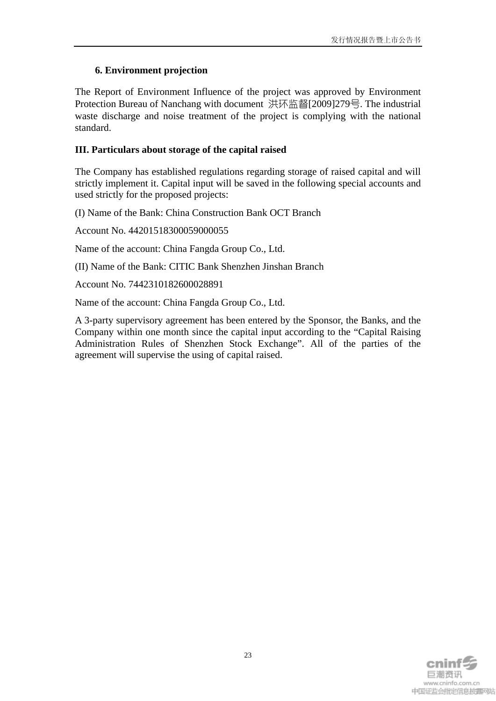## **6. Environment projection**

The Report of Environment Influence of the project was approved by Environment Protection Bureau of Nanchang with document 洪环监督[2009]279号. The industrial waste discharge and noise treatment of the project is complying with the national standard.

#### **III. Particulars about storage of the capital raised**

The Company has established regulations regarding storage of raised capital and will strictly implement it. Capital input will be saved in the following special accounts and used strictly for the proposed projects:

(I) Name of the Bank: China Construction Bank OCT Branch

Account No. 44201518300059000055

Name of the account: China Fangda Group Co., Ltd.

(II) Name of the Bank: CITIC Bank Shenzhen Jinshan Branch

Account No. 7442310182600028891

Name of the account: China Fangda Group Co., Ltd.

A 3-party supervisory agreement has been entered by the Sponsor, the Banks, and the Company within one month since the capital input according to the "Capital Raising Administration Rules of Shenzhen Stock Exchange". All of the parties of the agreement will supervise the using of capital raised.

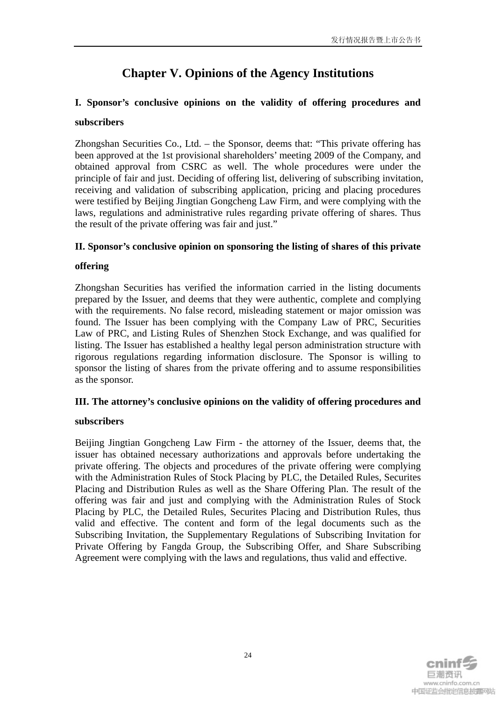# **Chapter V. Opinions of the Agency Institutions**

## **I. Sponsor's conclusive opinions on the validity of offering procedures and**

#### **subscribers**

Zhongshan Securities Co., Ltd. – the Sponsor, deems that: "This private offering has been approved at the 1st provisional shareholders' meeting 2009 of the Company, and obtained approval from CSRC as well. The whole procedures were under the principle of fair and just. Deciding of offering list, delivering of subscribing invitation, receiving and validation of subscribing application, pricing and placing procedures were testified by Beijing Jingtian Gongcheng Law Firm, and were complying with the laws, regulations and administrative rules regarding private offering of shares. Thus the result of the private offering was fair and just."

## **II. Sponsor's conclusive opinion on sponsoring the listing of shares of this private**

## **offering**

Zhongshan Securities has verified the information carried in the listing documents prepared by the Issuer, and deems that they were authentic, complete and complying with the requirements. No false record, misleading statement or major omission was found. The Issuer has been complying with the Company Law of PRC, Securities Law of PRC, and Listing Rules of Shenzhen Stock Exchange, and was qualified for listing. The Issuer has established a healthy legal person administration structure with rigorous regulations regarding information disclosure. The Sponsor is willing to sponsor the listing of shares from the private offering and to assume responsibilities as the sponsor.

## **III. The attorney's conclusive opinions on the validity of offering procedures and**

#### **subscribers**

Beijing Jingtian Gongcheng Law Firm - the attorney of the Issuer, deems that, the issuer has obtained necessary authorizations and approvals before undertaking the private offering. The objects and procedures of the private offering were complying with the Administration Rules of Stock Placing by PLC, the Detailed Rules, Securites Placing and Distribution Rules as well as the Share Offering Plan. The result of the offering was fair and just and complying with the Administration Rules of Stock Placing by PLC, the Detailed Rules, Securites Placing and Distribution Rules, thus valid and effective. The content and form of the legal documents such as the Subscribing Invitation, the Supplementary Regulations of Subscribing Invitation for Private Offering by Fangda Group, the Subscribing Offer, and Share Subscribing Agreement were complying with the laws and regulations, thus valid and effective.

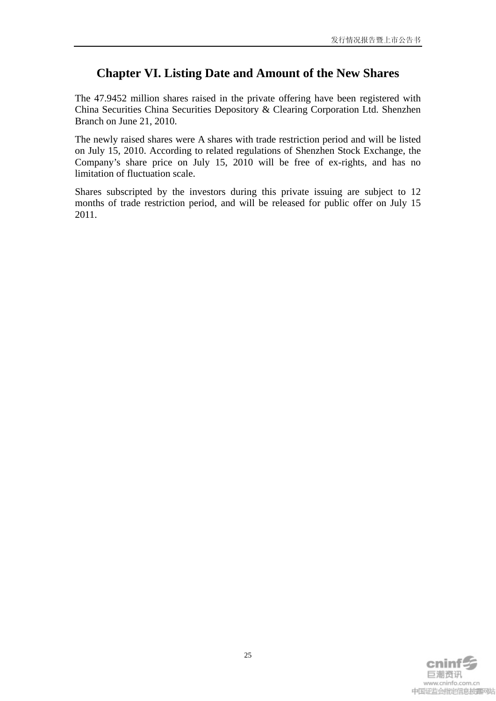# **Chapter VI. Listing Date and Amount of the New Shares**

The 47.9452 million shares raised in the private offering have been registered with China Securities China Securities Depository & Clearing Corporation Ltd. Shenzhen Branch on June 21, 2010.

The newly raised shares were A shares with trade restriction period and will be listed on July 15, 2010. According to related regulations of Shenzhen Stock Exchange, the Company's share price on July 15, 2010 will be free of ex-rights, and has no limitation of fluctuation scale.

Shares subscripted by the investors during this private issuing are subject to 12 months of trade restriction period, and will be released for public offer on July 15 2011.

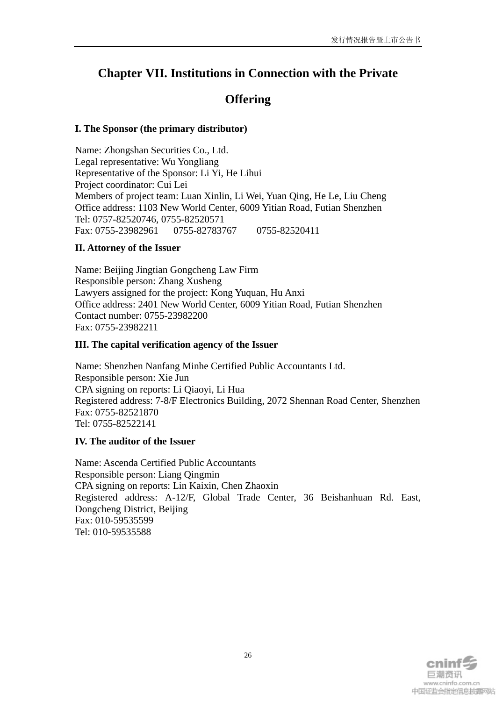# **Chapter VII. Institutions in Connection with the Private**

# **Offering**

#### **I. The Sponsor (the primary distributor)**

Name: Zhongshan Securities Co., Ltd. Legal representative: Wu Yongliang Representative of the Sponsor: Li Yi, He Lihui Project coordinator: Cui Lei Members of project team: Luan Xinlin, Li Wei, Yuan Qing, He Le, Liu Cheng Office address: 1103 New World Center, 6009 Yitian Road, Futian Shenzhen Tel: 0757-82520746, 0755-82520571 Fax: 0755-23982961 0755-82783767 0755-82520411

#### **II. Attorney of the Issuer**

Name: Beijing Jingtian Gongcheng Law Firm Responsible person: Zhang Xusheng Lawyers assigned for the project: Kong Yuquan, Hu Anxi Office address: 2401 New World Center, 6009 Yitian Road, Futian Shenzhen Contact number: 0755-23982200 Fax: 0755-23982211

#### **III. The capital verification agency of the Issuer**

Name: Shenzhen Nanfang Minhe Certified Public Accountants Ltd. Responsible person: Xie Jun CPA signing on reports: Li Qiaoyi, Li Hua Registered address: 7-8/F Electronics Building, 2072 Shennan Road Center, Shenzhen Fax: 0755-82521870 Tel: 0755-82522141

#### **IV. The auditor of the Issuer**

Name: Ascenda Certified Public Accountants Responsible person: Liang Qingmin CPA signing on reports: Lin Kaixin, Chen Zhaoxin Registered address: A-12/F, Global Trade Center, 36 Beishanhuan Rd. East, Dongcheng District, Beijing Fax: 010-59535599 Tel: 010-59535588

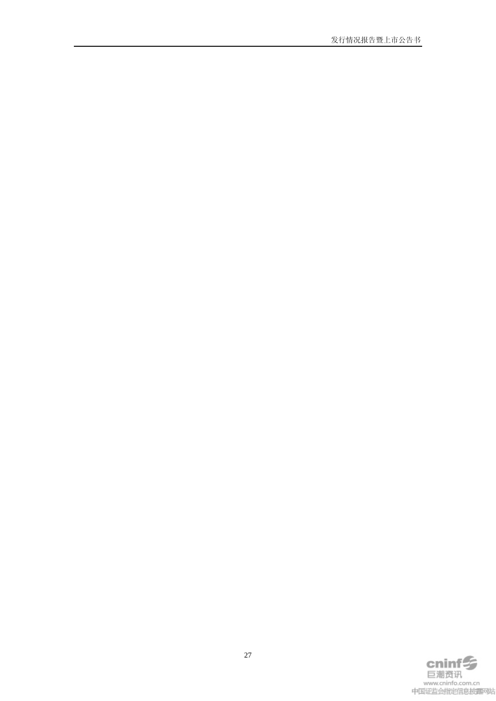